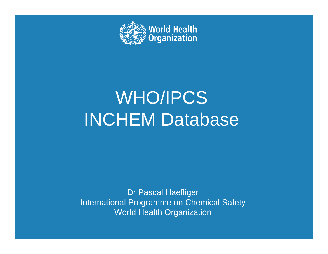

# WHO/IPCS INCHEM Database

Dr Pascal Haefliger International Programme on Chemical Safety World Health Organization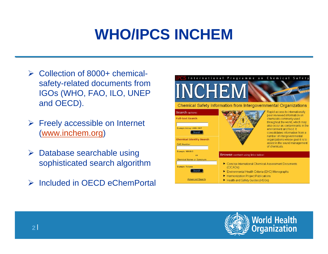## **WHO/IPCS INCHEM**

- **► Collection of 8000+ chemical**safety-related documents from IGOs (WHO, FAO, ILO, UNEP and OECD).
- $\triangleright$  Freely accessible on Internet (www.inchem.org)
- **► Database searchable using** sophisticated search algorithm
- **▶ Included in OECD eChemPortal**



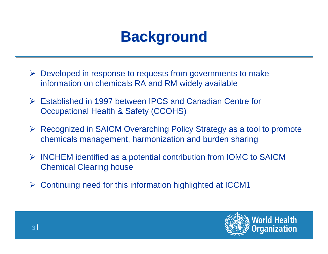### **Background Background**

- Developed in response to requests from governments to make information on chemicals RA and RM widely available
- Established in 1997 between IPCS and Canadian Centre for Occupational Health & Safety (CCOHS)
- Recognized in SAICM Overarching Policy Strategy as a tool to promote chemicals management, harmonization and burden sharing
- INCHEM identified as a potential contribution from IOMC to SAICM Chemical Clearing house
- Continuing need for this information highlighted at ICCM1

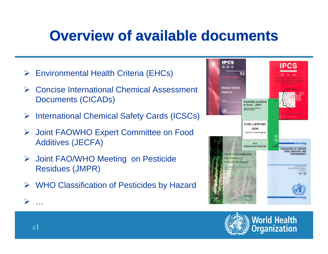### **Overview of available documents Overview of available documents**

- Environmental Health Criteria (EHCs)
- $\blacktriangleright$  Concise International Chemical Assessment Documents (CICADs)
- $\blacktriangleright$ International Chemical Safety Cards (ICSCs)
- $\blacktriangleright$  Joint FAOWHO Expert Committee on Food Additives (JECFA)
- **▶ Joint FAO/WHO Meeting on Pesticide** Residues (JMPR)
- WHO Classification of Pesticides by Hazard





 $\blacktriangleright$ …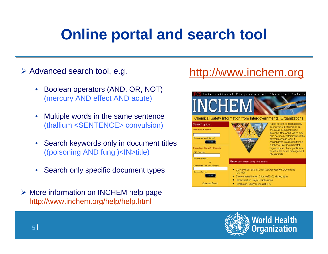### **Online portal and search tool**

#### **≻ Advanced search tool, e.g.**

- • Boolean operators (AND, OR, NOT) (mercury AND effect AND acute)
- • Multiple words in the same sentence (thallium <SENTENCE> convulsion)
- • Search keywords only in document titles ((poisoning AND fungi)<IN>title)
- •Search only specific document types
- **▶ More information on INCHEM help page** http://www.inchem.org/help/help.html

### http://www.inchem.org



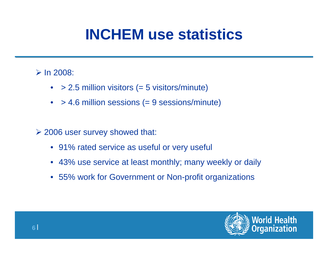### **INCHEM use statistics**

### $\triangleright$  In 2008:

- •> 2.5 million visitors (= 5 visitors/minute)
- $\bullet$ > 4.6 million sessions (= 9 sessions/minute)
- **2006 user survey showed that:** 
	- 91% rated service as useful or very useful
	- 43% use service at least monthly; many weekly or daily
	- 55% work for Government or Non-profit organizations

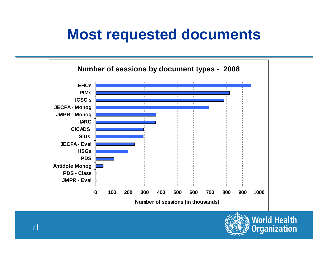### **Most requested documents**



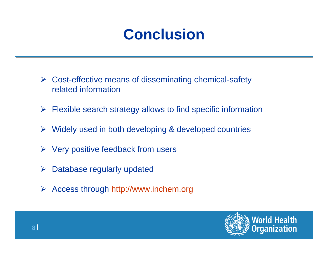## **Conclusion**

- Cost-effective means of disseminating chemical-safety related information
- $\triangleright$  Flexible search strategy allows to find specific information
- Widely used in both developing & developed countries
- $\triangleright$  Very positive feedback from users
- $\blacktriangleright$ Database regularly updated
- $\blacktriangleright$ Access through http://www.inchem.org